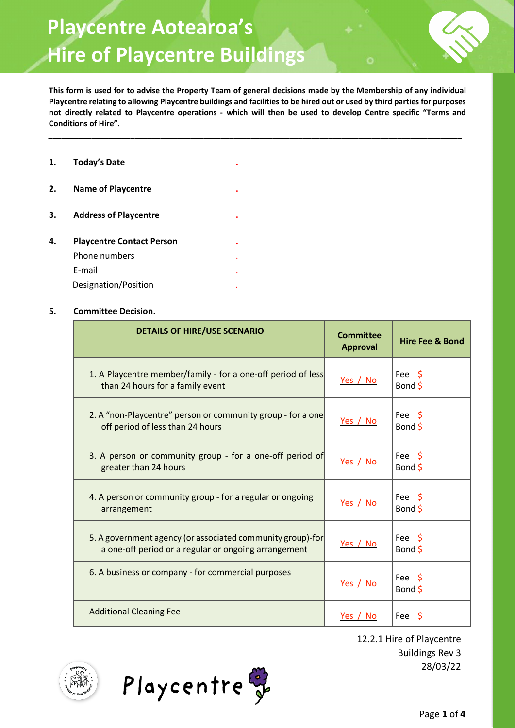## **Playcentre Aotearoa's Hire of Playcentre Buildings**

**This form is used for to advise the Property Team of general decisions made by the Membership of any individual Playcentre relating to allowing Playcentre buildings and facilities to be hired out or used by third parties for purposes not directly related to Playcentre operations - which will then be used to develop Centre specific "Terms and Conditions of Hire".**

**\_\_\_\_\_\_\_\_\_\_\_\_\_\_\_\_\_\_\_\_\_\_\_\_\_\_\_\_\_\_\_\_\_\_\_\_\_\_\_\_\_\_\_\_\_\_\_\_\_\_\_\_\_\_\_\_\_\_\_\_\_\_\_\_\_\_\_\_\_\_\_\_\_\_\_\_\_\_\_\_\_\_\_\_\_\_\_\_\_\_\_\_\_\_\_\_** 

| 1. | <b>Today's Date</b>              |   |
|----|----------------------------------|---|
| 2. | <b>Name of Playcentre</b>        | ٠ |
| 3. | <b>Address of Playcentre</b>     |   |
| 4. | <b>Playcentre Contact Person</b> | ٠ |
|    | Phone numbers                    |   |
|    | E-mail                           |   |
|    | Designation/Position             |   |

## **5. Committee Decision.**

| <b>DETAILS OF HIRE/USE SCENARIO</b>                                                                                | <b>Committee</b><br><b>Approval</b> | <b>Hire Fee &amp; Bond</b>   |
|--------------------------------------------------------------------------------------------------------------------|-------------------------------------|------------------------------|
| 1. A Playcentre member/family - for a one-off period of less<br>than 24 hours for a family event                   | Yes / No                            | Fee \$<br>Bond \$            |
| 2. A "non-Playcentre" person or community group - for a one<br>off period of less than 24 hours                    | Yes / No                            | Fee \$<br>Bond \$            |
| 3. A person or community group - for a one-off period of<br>greater than 24 hours                                  | Yes / No                            | Fee \$<br>Bond \$            |
| 4. A person or community group - for a regular or ongoing<br>arrangement                                           | Yes / No                            | Fee \$<br>Bond \$            |
| 5. A government agency (or associated community group)-for<br>a one-off period or a regular or ongoing arrangement | Yes / No                            | Fee \$<br>Bond \$            |
| 6. A business or company - for commercial purposes                                                                 | Yes / No                            | Fee \$<br>Bond $\frac{1}{2}$ |
| <b>Additional Cleaning Fee</b>                                                                                     | Yes / No                            | Fee \$                       |



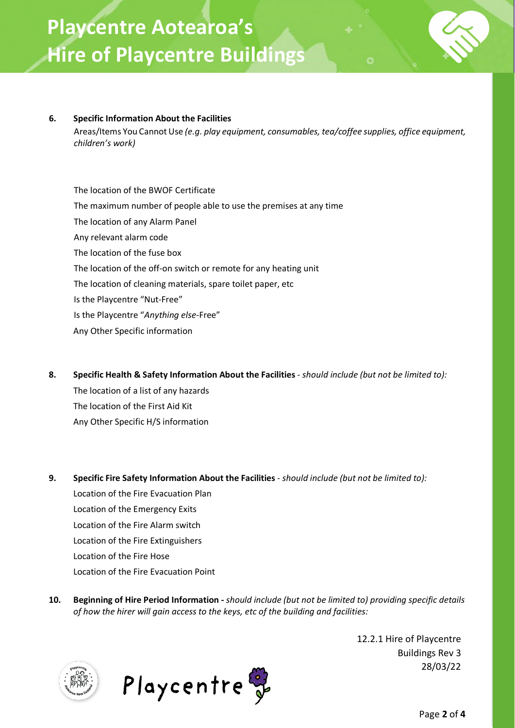## **6. Specific Information About the Facilities**

Areas/Items You Cannot Use *(e.g. play equipment, consumables, tea/coffee supplies, office equipment, children's work)*

The location of the BWOF Certificate The maximum number of people able to use the premises at any time The location of any Alarm Panel Any relevant alarm code The location of the fuse box The location of the off-on switch or remote for any heating unit The location of cleaning materials, spare toilet paper, etc Is the Playcentre "Nut-Free" Is the Playcentre "*Anything else*-Free" Any Other Specific information

- **8. Specific Health & Safety Information About the Facilities**  *should include (but not be limited to):* The location of a list of any hazards The location of the First Aid Kit Any Other Specific H/S information
- **9. Specific Fire Safety Information About the Facilities**  *should include (but not be limited to):* Location of the Fire Evacuation Plan Location of the Emergency Exits Location of the Fire Alarm switch Location of the Fire Extinguishers Location of the Fire Hose Location of the Fire Evacuation Point
- **10. Beginning of Hire Period Information -** *should include (but not be limited to) providing specific details of how the hirer will gain access to the keys, etc of the building and facilities:*



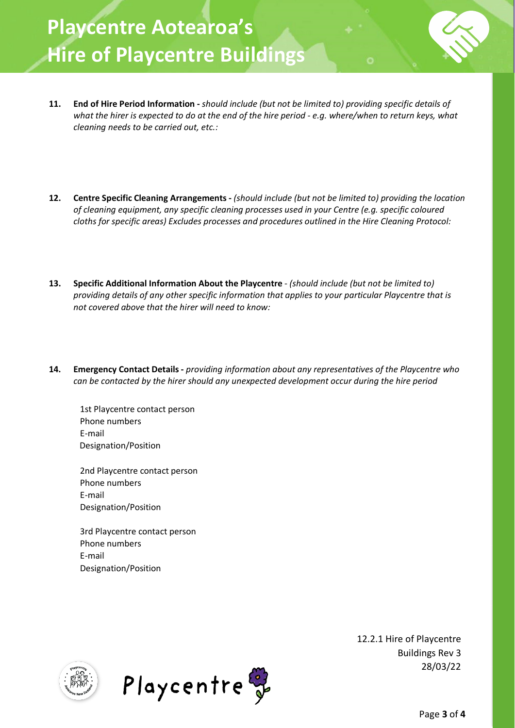- **11. End of Hire Period Information -** *should include (but not be limited to) providing specific details of what the hirer is expected to do at the end of the hire period - e.g. where/when to return keys, what cleaning needs to be carried out, etc.:*
- **12. Centre Specific Cleaning Arrangements -** *(should include (but not be limited to) providing the location of cleaning equipment, any specific cleaning processes used in your Centre (e.g. specific coloured cloths for specific areas) Excludes processes and procedures outlined in the Hire Cleaning Protocol:*
- **13. Specific Additional Information About the Playcentre**  *(should include (but not be limited to) providing details of any other specific information that applies to your particular Playcentre that is not covered above that the hirer will need to know:*
- **14. Emergency Contact Details -** *providing information about any representatives of the Playcentre who can be contacted by the hirer should any unexpected development occur during the hire period*

1st Playcentre contact person Phone numbers E-mail Designation/Position

2nd Playcentre contact person Phone numbers E-mail Designation/Position

3rd Playcentre contact person Phone numbers E-mail Designation/Position